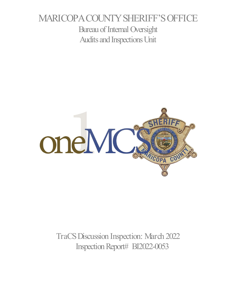# MARICOPA COUNTY SHERIFF'S OFFICE Bureau of Internal Oversight Audits and Inspections Unit



TraCS Discussion Inspection: March 2022 Inspection Report# BI2022-0053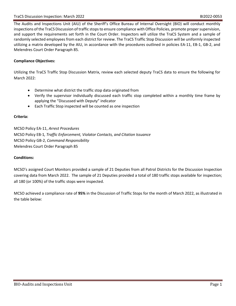The Audits and Inspections Unit (AIU) of the Sheriff's Office Bureau of Internal Oversight (BIO) will conduct monthly inspections of the TraCS Discussion of traffic stops to ensure compliance with Office Policies, promote proper supervision, and support the requirements set forth in the Court Order. Inspectors will utilize the TraCS System and a sample of randomly selected employees from each district for review. The TraCS Traffic Stop Discussion will be uniformly inspected utilizing a matrix developed by the AIU, in accordance with the procedures outlined in policies EA-11, EB-1, GB-2, and Melendres Court Order Paragraph 85.

#### **Compliance Objectives:**

Utilizing the TraCS Traffic Stop Discussion Matrix, review each selected deputy TraCS data to ensure the following for March 2022:

- Determine what district the traffic stop data originated from
- Verify the supervisor individually discussed each traffic stop completed within a monthly time frame by applying the "Discussed with Deputy" indicator
- Each Traffic Stop inspected will be counted as one inspection

#### **Criteria:**

MCSO Policy EA-11, *Arrest Procedures* MCSO Policy EB-1*, Traffic Enforcement, Violator Contacts, and Citation Issuance* MCSO Policy GB-2, *Command Responsibility* Melendres Court Order Paragraph 85

#### **Conditions:**

MCSO's assigned Court Monitors provided a sample of 21 Deputies from all Patrol Districts for the Discussion Inspection covering data from March 2022. The sample of 21 Deputies provided a total of 180 traffic stops available for inspection; all 180 (or 100%) of the traffic stops were inspected.

MCSO achieved a compliance rate of **95%** in the Discussion of Traffic Stops for the month of March 2022, as illustrated in the table below: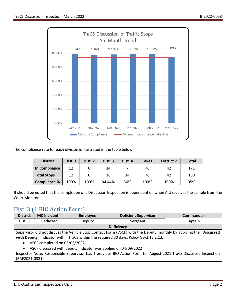

The compliance rate for each division is illustrated in the table below:

| <b>District</b>    | Dist. 1 | Dist. 2 | Dist. 3 | Dist. 4 | Lakes | <b>District 7</b> | <b>Total</b> |
|--------------------|---------|---------|---------|---------|-------|-------------------|--------------|
| In Compliance      | 12      |         | 34      |         | 76    | 42                | 171          |
| <b>Total Stops</b> | 12      |         | 36      | 14      | 76    | 42                | 180          |
| Compliance %       | 100%    | 100%    | 94.44%  | 50%     | 100%  | 100%              | 95%          |

It should be noted that the completion of a Discussion Inspection is dependent on when AIU receives the sample from the Court Monitors.

### Dist. 3 (1 BIO Action Form)

| <b>District</b>                                                                                                    | MC Incident # | <b>Employee</b> | <b>Deficient Supervisor</b> | <b>Commander</b> |
|--------------------------------------------------------------------------------------------------------------------|---------------|-----------------|-----------------------------|------------------|
| Dist. 3                                                                                                            | Redacted      | Deputv          | Sergeant                    | Captain          |
| <b>Deficiency</b>                                                                                                  |               |                 |                             |                  |
| Cunomican did not discuss the Uchide Ctan Centest Fount (UCCE) with the Denuty mentals by concluing the "Discussed |               |                 |                             |                  |

Supervisor did not discuss the Vehicle Stop Contact Form (VSCF) with the Deputy monthly by applying the "**Discussed**  with Deputy" indicator within TraCS within the required 30 days. Policy GB-2.13.E.1.b.

- VSCF completed on 03/03/2022
- VSCF discussed with deputy indicator was applied on 04/09/2022

Inspector Note: Responsible Supervisor has 1 previous BIO Action Form for August 2021 TraCS Discussed Inspection (BAF2021-0331)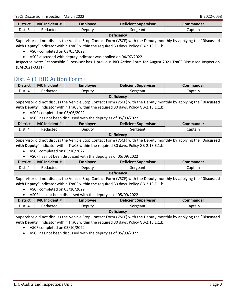| <b>District</b>   | <b>MC</b> Incident # | Employee | <b>Deficient Supervisor</b> | Commander |
|-------------------|----------------------|----------|-----------------------------|-----------|
| Dist. 3           | Redacted             | Deputy   | Sergeant                    | Captain   |
| <b>Deficiency</b> |                      |          |                             |           |

Supervisor did not discuss the Vehicle Stop Contact Form (VSCF) with the Deputy monthly by applying the "**Discussed with Deputy"** indicator within TraCS within the required 30 days. Policy GB-2.13.E.1.b.

• VSCF completed on 03/05/2022

• VSCF discussed with deputy indicator was applied on 04/07/2022

Inspector Note: Responsible Supervisor has 1 previous BIO Action Form for August 2021 TraCS Discussed Inspection (BAF2021-0331)

## Dist. 4 (1 BIO Action Form)

| <b>District</b>                                                                                                    | <b>MC Incident #</b>         | <b>Employee</b>                                              | <b>Deficient Supervisor</b>                                                            | <b>Commander</b>                                                                                                   |  |
|--------------------------------------------------------------------------------------------------------------------|------------------------------|--------------------------------------------------------------|----------------------------------------------------------------------------------------|--------------------------------------------------------------------------------------------------------------------|--|
| Dist. 4                                                                                                            | Redacted                     | Deputy                                                       | Sergeant                                                                               | Captain                                                                                                            |  |
|                                                                                                                    | <b>Deficiency</b>            |                                                              |                                                                                        |                                                                                                                    |  |
|                                                                                                                    |                              |                                                              |                                                                                        | Supervisor did not discuss the Vehicle Stop Contact Form (VSCF) with the Deputy monthly by applying the "Discussed |  |
|                                                                                                                    |                              |                                                              | with Deputy" indicator within TraCS within the required 30 days. Policy GB-2.13.E.1.b. |                                                                                                                    |  |
|                                                                                                                    | VSCF completed on 03/06/2022 |                                                              |                                                                                        |                                                                                                                    |  |
| $\bullet$                                                                                                          |                              | VSCF has not been discussed with the deputy as of 05/09/2022 |                                                                                        |                                                                                                                    |  |
| <b>District</b>                                                                                                    | <b>MC</b> Incident #         | <b>Employee</b>                                              | <b>Deficient Supervisor</b>                                                            | <b>Commander</b>                                                                                                   |  |
| Dist. 4                                                                                                            | Redacted                     | Deputy                                                       | Sergeant                                                                               | Captain                                                                                                            |  |
|                                                                                                                    |                              |                                                              | <b>Deficiency</b>                                                                      |                                                                                                                    |  |
|                                                                                                                    |                              |                                                              |                                                                                        | Supervisor did not discuss the Vehicle Stop Contact Form (VSCF) with the Deputy monthly by applying the "Discussed |  |
|                                                                                                                    |                              |                                                              | with Deputy" indicator within TraCS within the required 30 days. Policy GB-2.13.E.1.b. |                                                                                                                    |  |
|                                                                                                                    | VSCF completed on 03/10/2022 |                                                              |                                                                                        |                                                                                                                    |  |
|                                                                                                                    |                              | VSCF has not been discussed with the deputy as of 05/09/2022 |                                                                                        |                                                                                                                    |  |
| <b>District</b>                                                                                                    | <b>MC Incident #</b>         | <b>Employee</b>                                              | <b>Deficient Supervisor</b>                                                            | <b>Commander</b>                                                                                                   |  |
| Dist. 4                                                                                                            | Redacted                     | Deputy                                                       | Sergeant                                                                               | Captain                                                                                                            |  |
| <b>Deficiency</b>                                                                                                  |                              |                                                              |                                                                                        |                                                                                                                    |  |
| Supervisor did not discuss the Vehicle Stop Contact Form (VSCF) with the Deputy monthly by applying the "Discussed |                              |                                                              |                                                                                        |                                                                                                                    |  |
| with Deputy" indicator within TraCS within the required 30 days. Policy GB-2.13.E.1.b.                             |                              |                                                              |                                                                                        |                                                                                                                    |  |
| VSCF completed on 03/10/2022                                                                                       |                              |                                                              |                                                                                        |                                                                                                                    |  |
| VSCF has not been discussed with the deputy as of 05/09/2022<br>$\bullet$                                          |                              |                                                              |                                                                                        |                                                                                                                    |  |
| <b>District</b>                                                                                                    | <b>MC Incident #</b>         | <b>Employee</b>                                              | <b>Deficient Supervisor</b>                                                            | <b>Commander</b>                                                                                                   |  |
| Dist. 4                                                                                                            | Redacted                     | Deputy                                                       | Sergeant                                                                               | Captain                                                                                                            |  |
| <b>Deficiency</b>                                                                                                  |                              |                                                              |                                                                                        |                                                                                                                    |  |
| Supervisor did not discuss the Vehicle Stop Contact Form (VSCF) with the Deputy monthly by applying the "Discussed |                              |                                                              |                                                                                        |                                                                                                                    |  |
| with Deputy" indicator within TraCS within the required 30 days. Policy GB-2.13.E.1.b.                             |                              |                                                              |                                                                                        |                                                                                                                    |  |
|                                                                                                                    | VSCF completed on 03/10/2022 |                                                              |                                                                                        |                                                                                                                    |  |
| VSCF has not been discussed with the deputy as of 05/09/2022                                                       |                              |                                                              |                                                                                        |                                                                                                                    |  |